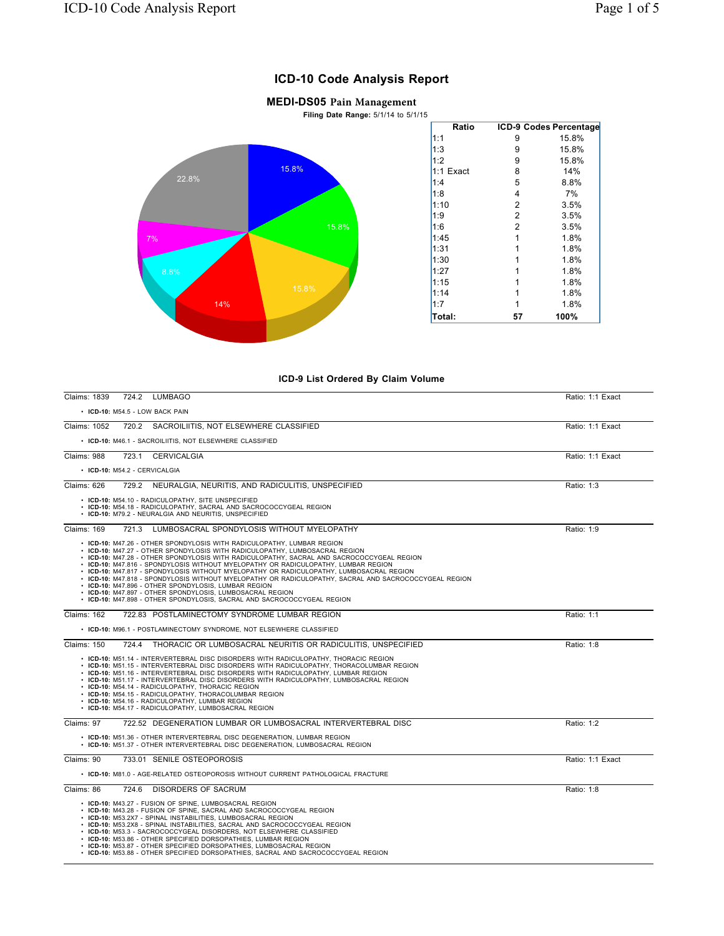## **ICD-10 Code Analysis Report**

## **MEDI-DS05 Pain Management**

**Filing Date Range:** 5/1/14 to 5/1/15



## **ICD-9 List Ordered By Claim Volume**

| Claims: 1839       | 724.2 LUMBAGO                                                                                                                                                                                                                                                                                                                                                                                                                                                                                                                                                                                                                                                                                                                                | Ratio: 1:1 Exact |
|--------------------|----------------------------------------------------------------------------------------------------------------------------------------------------------------------------------------------------------------------------------------------------------------------------------------------------------------------------------------------------------------------------------------------------------------------------------------------------------------------------------------------------------------------------------------------------------------------------------------------------------------------------------------------------------------------------------------------------------------------------------------------|------------------|
|                    | • ICD-10: M54.5 - LOW BACK PAIN                                                                                                                                                                                                                                                                                                                                                                                                                                                                                                                                                                                                                                                                                                              |                  |
| Claims: 1052       | 720.2 SACROILIITIS, NOT ELSEWHERE CLASSIFIED                                                                                                                                                                                                                                                                                                                                                                                                                                                                                                                                                                                                                                                                                                 | Ratio: 1:1 Exact |
|                    | • ICD-10: M46.1 - SACROILIITIS, NOT ELSEWHERE CLASSIFIED                                                                                                                                                                                                                                                                                                                                                                                                                                                                                                                                                                                                                                                                                     |                  |
| Claims: 988        | 723.1 CERVICALGIA                                                                                                                                                                                                                                                                                                                                                                                                                                                                                                                                                                                                                                                                                                                            | Ratio: 1:1 Exact |
|                    | • ICD-10: M54.2 - CERVICALGIA                                                                                                                                                                                                                                                                                                                                                                                                                                                                                                                                                                                                                                                                                                                |                  |
| Claims: 626        | 729.2 NEURALGIA, NEURITIS, AND RADICULITIS, UNSPECIFIED                                                                                                                                                                                                                                                                                                                                                                                                                                                                                                                                                                                                                                                                                      | Ratio: 1:3       |
|                    | • ICD-10: M54.10 - RADICULOPATHY, SITE UNSPECIFIED<br>• ICD-10: M54.18 - RADICULOPATHY, SACRAL AND SACROCOCCYGEAL REGION<br>• ICD-10: M79.2 - NEURALGIA AND NEURITIS, UNSPECIFIED                                                                                                                                                                                                                                                                                                                                                                                                                                                                                                                                                            |                  |
| <b>Claims: 169</b> | 721.3 LUMBOSACRAL SPONDYLOSIS WITHOUT MYELOPATHY                                                                                                                                                                                                                                                                                                                                                                                                                                                                                                                                                                                                                                                                                             | Ratio: 1:9       |
|                    | • ICD-10: M47.26 - OTHER SPONDYLOSIS WITH RADICULOPATHY, LUMBAR REGION<br>• ICD-10: M47.27 - OTHER SPONDYLOSIS WITH RADICULOPATHY, LUMBOSACRAL REGION<br>• ICD-10: M47.28 - OTHER SPONDYLOSIS WITH RADICULOPATHY, SACRAL AND SACROCOCCYGEAL REGION<br>• ICD-10: M47.816 - SPONDYLOSIS WITHOUT MYELOPATHY OR RADICULOPATHY, LUMBAR REGION<br>• ICD-10: M47.817 - SPONDYLOSIS WITHOUT MYELOPATHY OR RADICULOPATHY, LUMBOSACRAL REGION<br>• ICD-10: M47.818 - SPONDYLOSIS WITHOUT MYELOPATHY OR RADICULOPATHY, SACRAL AND SACROCOCCYGEAL REGION<br>• ICD-10: M47.896 - OTHER SPONDYLOSIS, LUMBAR REGION<br>• ICD-10: M47.897 - OTHER SPONDYLOSIS, LUMBOSACRAL REGION<br>• ICD-10: M47.898 - OTHER SPONDYLOSIS, SACRAL AND SACROCOCCYGEAL REGION |                  |
| Claims: 162        | 722.83 POSTLAMINECTOMY SYNDROME LUMBAR REGION                                                                                                                                                                                                                                                                                                                                                                                                                                                                                                                                                                                                                                                                                                | Ratio: 1:1       |
|                    | • ICD-10: M96.1 - POSTLAMINECTOMY SYNDROME, NOT ELSEWHERE CLASSIFIED                                                                                                                                                                                                                                                                                                                                                                                                                                                                                                                                                                                                                                                                         |                  |
| Claims: 150        | 724.4 THORACIC OR LUMBOSACRAL NEURITIS OR RADICULITIS, UNSPECIFIED                                                                                                                                                                                                                                                                                                                                                                                                                                                                                                                                                                                                                                                                           | Ratio: 1:8       |
|                    | • ICD-10: M51.14 - INTERVERTEBRAL DISC DISORDERS WITH RADICULOPATHY, THORACIC REGION<br>• ICD-10: M51.15 - INTERVERTEBRAL DISC DISORDERS WITH RADICULOPATHY. THORACOLUMBAR REGION<br>• ICD-10: M51.16 - INTERVERTEBRAL DISC DISORDERS WITH RADICULOPATHY, LUMBAR REGION<br>• ICD-10: M51.17 - INTERVERTEBRAL DISC DISORDERS WITH RADICULOPATHY, LUMBOSACRAL REGION<br>• ICD-10: M54.14 - RADICULOPATHY, THORACIC REGION<br>• ICD-10: M54.15 - RADICULOPATHY, THORACOLUMBAR REGION<br>• ICD-10: M54.16 - RADICULOPATHY, LUMBAR REGION<br>• ICD-10: M54.17 - RADICULOPATHY, LUMBOSACRAL REGION                                                                                                                                                 |                  |
| Claims: 97         | 722.52 DEGENERATION LUMBAR OR LUMBOSACRAL INTERVERTEBRAL DISC                                                                                                                                                                                                                                                                                                                                                                                                                                                                                                                                                                                                                                                                                | Ratio: 1:2       |
|                    | • ICD-10: M51.36 - OTHER INTERVERTEBRAL DISC DEGENERATION. LUMBAR REGION<br>• ICD-10: M51.37 - OTHER INTERVERTEBRAL DISC DEGENERATION, LUMBOSACRAL REGION                                                                                                                                                                                                                                                                                                                                                                                                                                                                                                                                                                                    |                  |
| Claims: 90         | 733.01 SENILE OSTEOPOROSIS                                                                                                                                                                                                                                                                                                                                                                                                                                                                                                                                                                                                                                                                                                                   | Ratio: 1:1 Exact |
|                    | • ICD-10: M81.0 - AGE-RELATED OSTEOPOROSIS WITHOUT CURRENT PATHOLOGICAL FRACTURE                                                                                                                                                                                                                                                                                                                                                                                                                                                                                                                                                                                                                                                             |                  |
| Claims: 86         | 724.6 DISORDERS OF SACRUM                                                                                                                                                                                                                                                                                                                                                                                                                                                                                                                                                                                                                                                                                                                    | Ratio: 1:8       |
|                    | • ICD-10: M43.27 - FUSION OF SPINE, LUMBOSACRAL REGION<br>• ICD-10: M43.28 - FUSION OF SPINE, SACRAL AND SACROCOCCYGEAL REGION<br>• ICD-10: M53.2X7 - SPINAL INSTABILITIES, LUMBOSACRAL REGION<br>• ICD-10: M53.2X8 - SPINAL INSTABILITIES, SACRAL AND SACROCOCCYGEAL REGION<br>• ICD-10: M53.3 - SACROCOCCYGEAL DISORDERS, NOT ELSEWHERE CLASSIFIED<br>• ICD-10: M53.86 - OTHER SPECIFIED DORSOPATHIES, LUMBAR REGION<br>• ICD-10: M53.87 - OTHER SPECIFIED DORSOPATHIES, LUMBOSACRAL REGION<br>• ICD-10: M53.88 - OTHER SPECIFIED DORSOPATHIES, SACRAL AND SACROCOCCYGEAL REGION                                                                                                                                                           |                  |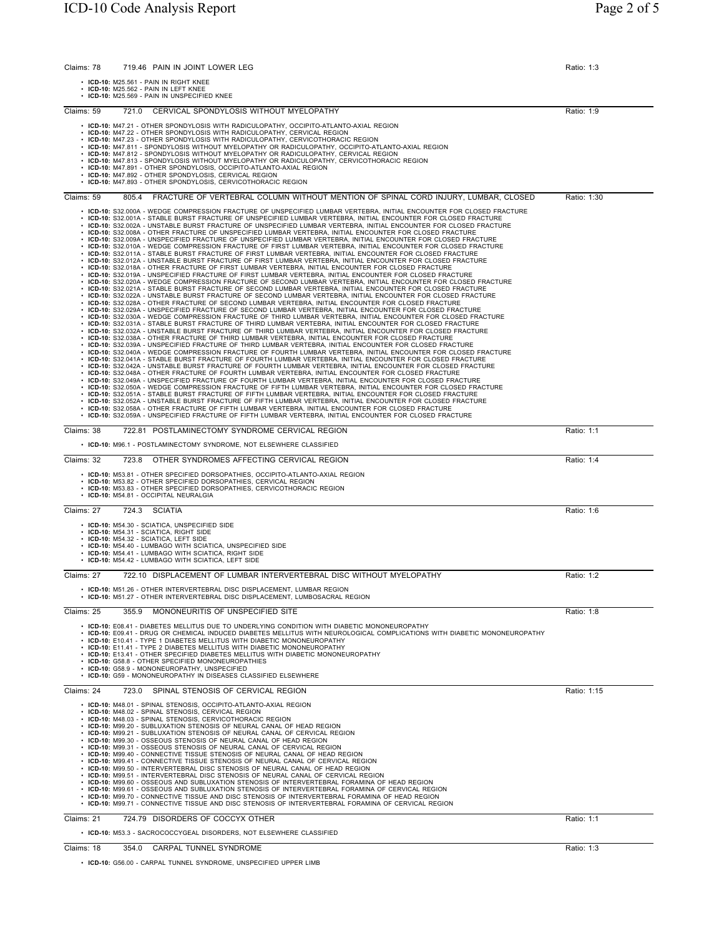| 719.46 PAIN IN JOINT LOWER LEG<br>Claims: 78                                                                                                                                                                                                                                                                                                                                                                                                                                                                                                                                                                                                                                                                                                                                                                                                                                                                                                                                                                                                                                                                                                                                                                                                                                                                                                                                                                                                                                                                                                                                                                                                                                                                                                                                                                                                                                                                                                                                                                                                                                                                                                                                                                                                                                                                                                                                                                                                                                                                                                                                                                                                                                                                                                                                                                                                                                                                                                                                                                                                                                                                                                                                                                                                                                                                                                                                                                                                           | Ratio: 1:3  |
|--------------------------------------------------------------------------------------------------------------------------------------------------------------------------------------------------------------------------------------------------------------------------------------------------------------------------------------------------------------------------------------------------------------------------------------------------------------------------------------------------------------------------------------------------------------------------------------------------------------------------------------------------------------------------------------------------------------------------------------------------------------------------------------------------------------------------------------------------------------------------------------------------------------------------------------------------------------------------------------------------------------------------------------------------------------------------------------------------------------------------------------------------------------------------------------------------------------------------------------------------------------------------------------------------------------------------------------------------------------------------------------------------------------------------------------------------------------------------------------------------------------------------------------------------------------------------------------------------------------------------------------------------------------------------------------------------------------------------------------------------------------------------------------------------------------------------------------------------------------------------------------------------------------------------------------------------------------------------------------------------------------------------------------------------------------------------------------------------------------------------------------------------------------------------------------------------------------------------------------------------------------------------------------------------------------------------------------------------------------------------------------------------------------------------------------------------------------------------------------------------------------------------------------------------------------------------------------------------------------------------------------------------------------------------------------------------------------------------------------------------------------------------------------------------------------------------------------------------------------------------------------------------------------------------------------------------------------------------------------------------------------------------------------------------------------------------------------------------------------------------------------------------------------------------------------------------------------------------------------------------------------------------------------------------------------------------------------------------------------------------------------------------------------------------------------------------------|-------------|
| · ICD-10: M25.561 - PAIN IN RIGHT KNEE<br>$\cdot$ ICD-10: M25.562 - PAIN IN LEFT KNEE<br>• ICD-10: M25.569 - PAIN IN UNSPECIFIED KNEE                                                                                                                                                                                                                                                                                                                                                                                                                                                                                                                                                                                                                                                                                                                                                                                                                                                                                                                                                                                                                                                                                                                                                                                                                                                                                                                                                                                                                                                                                                                                                                                                                                                                                                                                                                                                                                                                                                                                                                                                                                                                                                                                                                                                                                                                                                                                                                                                                                                                                                                                                                                                                                                                                                                                                                                                                                                                                                                                                                                                                                                                                                                                                                                                                                                                                                                  |             |
| 721.0 CERVICAL SPONDYLOSIS WITHOUT MYELOPATHY<br>Claims: 59                                                                                                                                                                                                                                                                                                                                                                                                                                                                                                                                                                                                                                                                                                                                                                                                                                                                                                                                                                                                                                                                                                                                                                                                                                                                                                                                                                                                                                                                                                                                                                                                                                                                                                                                                                                                                                                                                                                                                                                                                                                                                                                                                                                                                                                                                                                                                                                                                                                                                                                                                                                                                                                                                                                                                                                                                                                                                                                                                                                                                                                                                                                                                                                                                                                                                                                                                                                            | Ratio: 1:9  |
| • ICD-10: M47.21 - OTHER SPONDYLOSIS WITH RADICULOPATHY, OCCIPITO-ATLANTO-AXIAL REGION<br>• ICD-10: M47.22 - OTHER SPONDYLOSIS WITH RADICULOPATHY, CERVICAL REGION<br>• ICD-10: M47.23 - OTHER SPONDYLOSIS WITH RADICULOPATHY, CERVICOTHORACIC REGION<br>• ICD-10: M47.811 - SPONDYLOSIS WITHOUT MYELOPATHY OR RADICULOPATHY, OCCIPITO-ATLANTO-AXIAL REGION<br>· ICD-10: M47.812 - SPONDYLOSIS WITHOUT MYELOPATHY OR RADICULOPATHY, CERVICAL REGION<br>• ICD-10: M47.813 - SPONDYLOSIS WITHOUT MYELOPATHY OR RADICULOPATHY, CERVICOTHORACIC REGION<br>• ICD-10: M47.891 - OTHER SPONDYLOSIS, OCCIPITO-ATLANTO-AXIAL REGION<br>• ICD-10: M47.892 - OTHER SPONDYLOSIS, CERVICAL REGION<br>• ICD-10: M47.893 - OTHER SPONDYLOSIS, CERVICOTHORACIC REGION                                                                                                                                                                                                                                                                                                                                                                                                                                                                                                                                                                                                                                                                                                                                                                                                                                                                                                                                                                                                                                                                                                                                                                                                                                                                                                                                                                                                                                                                                                                                                                                                                                                                                                                                                                                                                                                                                                                                                                                                                                                                                                                                                                                                                                                                                                                                                                                                                                                                                                                                                                                                                                                                                                  |             |
| FRACTURE OF VERTEBRAL COLUMN WITHOUT MENTION OF SPINAL CORD INJURY, LUMBAR, CLOSED<br>Claims: 59<br>805.4                                                                                                                                                                                                                                                                                                                                                                                                                                                                                                                                                                                                                                                                                                                                                                                                                                                                                                                                                                                                                                                                                                                                                                                                                                                                                                                                                                                                                                                                                                                                                                                                                                                                                                                                                                                                                                                                                                                                                                                                                                                                                                                                                                                                                                                                                                                                                                                                                                                                                                                                                                                                                                                                                                                                                                                                                                                                                                                                                                                                                                                                                                                                                                                                                                                                                                                                              | Ratio: 1:30 |
| · ICD-10: S32.000A - WEDGE COMPRESSION FRACTURE OF UNSPECIFIED LUMBAR VERTEBRA, INITIAL ENCOUNTER FOR CLOSED FRACTURE<br>· ICD-10: S32.001A - STABLE BURST FRACTURE OF UNSPECIFIED LUMBAR VERTEBRA, INITIAL ENCOUNTER FOR CLOSED FRACTURE<br>· ICD-10: S32.002A - UNSTABLE BURST FRACTURE OF UNSPECIFIED LUMBAR VERTEBRA, INITIAL ENCOUNTER FOR CLOSED FRACTURE<br>· ICD-10: S32.008A - OTHER FRACTURE OF UNSPECIFIED LUMBAR VERTEBRA, INITIAL ENCOUNTER FOR CLOSED FRACTURE<br>· ICD-10: S32.009A - UNSPECIFIED FRACTURE OF UNSPECIFIED LUMBAR VERTEBRA, INITIAL ENCOUNTER FOR CLOSED FRACTURE<br>· ICD-10: S32.010A - WEDGE COMPRESSION FRACTURE OF FIRST LUMBAR VERTEBRA, INITIAL ENCOUNTER FOR CLOSED FRACTURE<br>· ICD-10: S32.011A - STABLE BURST FRACTURE OF FIRST LUMBAR VERTEBRA, INITIAL ENCOUNTER FOR CLOSED FRACTURE<br>ICD-10: S32.012A - UNSTABLE BURST FRACTURE OF FIRST LUMBAR VERTEBRA, INITIAL ENCOUNTER FOR CLOSED FRACTURE<br>ICD-10: S32.018A - OTHER FRACTURE OF FIRST LUMBAR VERTEBRA, INITIAL ENCOUNTER FOR CLOSED FRACTURE<br>· ICD-10: S32.019A - UNSPECIFIED FRACTURE OF FIRST LUMBAR VERTEBRA, INITIAL ENCOUNTER FOR CLOSED FRACTURE<br>ICD-10: S32.020A - WEDGE COMPRESSION FRACTURE OF SECOND LUMBAR VERTEBRA, INITIAL ENCOUNTER FOR CLOSED FRACTURE<br>ICD-10: S32.021A - STABLE BURST FRACTURE OF SECOND LUMBAR VERTEBRA, INITIAL ENCOUNTER FOR CLOSED FRACTURE<br>ICD-10: S32.022A - UNSTABLE BURST FRACTURE OF SECOND LUMBAR VERTEBRA, INITIAL ENCOUNTER FOR CLOSED FRACTURE<br>· ICD-10: S32.028A - OTHER FRACTURE OF SECOND LUMBAR VERTEBRA, INITIAL ENCOUNTER FOR CLOSED FRACTURE<br>ICD-10: S32.029A - UNSPECIFIED FRACTURE OF SECOND LUMBAR VERTEBRA, INITIAL ENCOUNTER FOR CLOSED FRACTURE<br>· ICD-10: S32.030A - WEDGE COMPRESSION FRACTURE OF THIRD LUMBAR VERTEBRA, INITIAL ENCOUNTER FOR CLOSED FRACTURE<br>· ICD-10: S32.031A - STABLE BURST FRACTURE OF THIRD LUMBAR VERTEBRA, INITIAL ENCOUNTER FOR CLOSED FRACTURE<br>· ICD-10: S32.032A - UNSTABLE BURST FRACTURE OF THIRD LUMBAR VERTEBRA, INITIAL ENCOUNTER FOR CLOSED FRACTURE<br>. ICD-10: S32.038A - OTHER FRACTURE OF THIRD LUMBAR VERTEBRA. INITIAL ENCOUNTER FOR CLOSED FRACTURE<br>. ICD-10: S32.039A - UNSPECIFIED FRACTURE OF THIRD LUMBAR VERTEBRA. INITIAL ENCOUNTER FOR CLOSED FRACTURE<br>· ICD-10: S32.040A - WEDGE COMPRESSION FRACTURE OF FOURTH LUMBAR VERTEBRA, INITIAL ENCOUNTER FOR CLOSED FRACTURE<br>. ICD-10: S32.041A - STABLE BURST FRACTURE OF FOURTH LUMBAR VERTEBRA. INITIAL ENCOUNTER FOR CLOSED FRACTURE<br>· ICD-10: S32.042A - UNSTABLE BURST FRACTURE OF FOURTH LUMBAR VERTEBRA, INITIAL ENCOUNTER FOR CLOSED FRACTURE<br>· ICD-10: S32.048A - OTHER FRACTURE OF FOURTH LUMBAR VERTEBRA, INITIAL ENCOUNTER FOR CLOSED FRACTURE<br>· ICD-10: S32.049A - UNSPECIFIED FRACTURE OF FOURTH LUMBAR VERTEBRA, INITIAL ENCOUNTER FOR CLOSED FRACTURE<br>· ICD-10: S32.050A - WEDGE COMPRESSION FRACTURE OF FIFTH LUMBAR VERTEBRA, INITIAL ENCOUNTER FOR CLOSED FRACTURE<br>· ICD-10: S32.051A - STABLE BURST FRACTURE OF FIFTH LUMBAR VERTEBRA, INITIAL ENCOUNTER FOR CLOSED FRACTURE<br>· ICD-10: S32.052A - UNSTABLE BURST FRACTURE OF FIFTH LUMBAR VERTEBRA, INITIAL ENCOUNTER FOR CLOSED FRACTURE<br>· ICD-10: S32.058A - OTHER FRACTURE OF FIFTH LUMBAR VERTEBRA, INITIAL ENCOUNTER FOR CLOSED FRACTURE<br>· ICD-10: S32.059A - UNSPECIFIED FRACTURE OF FIFTH LUMBAR VERTEBRA, INITIAL ENCOUNTER FOR CLOSED FRACTURE |             |
| Claims: 38<br>722.81 POSTLAMINECTOMY SYNDROME CERVICAL REGION                                                                                                                                                                                                                                                                                                                                                                                                                                                                                                                                                                                                                                                                                                                                                                                                                                                                                                                                                                                                                                                                                                                                                                                                                                                                                                                                                                                                                                                                                                                                                                                                                                                                                                                                                                                                                                                                                                                                                                                                                                                                                                                                                                                                                                                                                                                                                                                                                                                                                                                                                                                                                                                                                                                                                                                                                                                                                                                                                                                                                                                                                                                                                                                                                                                                                                                                                                                          | Ratio: 1:1  |
| • ICD-10: M96.1 - POSTLAMINECTOMY SYNDROME, NOT ELSEWHERE CLASSIFIED                                                                                                                                                                                                                                                                                                                                                                                                                                                                                                                                                                                                                                                                                                                                                                                                                                                                                                                                                                                                                                                                                                                                                                                                                                                                                                                                                                                                                                                                                                                                                                                                                                                                                                                                                                                                                                                                                                                                                                                                                                                                                                                                                                                                                                                                                                                                                                                                                                                                                                                                                                                                                                                                                                                                                                                                                                                                                                                                                                                                                                                                                                                                                                                                                                                                                                                                                                                   |             |
| OTHER SYNDROMES AFFECTING CERVICAL REGION<br>Claims: 32<br>723.8<br>• ICD-10: M53.81 - OTHER SPECIFIED DORSOPATHIES, OCCIPITO-ATLANTO-AXIAL REGION<br>• ICD-10: M53.82 - OTHER SPECIFIED DORSOPATHIES, CERVICAL REGION<br>• ICD-10: M53.83 - OTHER SPECIFIED DORSOPATHIES, CERVICOTHORACIC REGION<br>· ICD-10: M54.81 - OCCIPITAL NEURALGIA                                                                                                                                                                                                                                                                                                                                                                                                                                                                                                                                                                                                                                                                                                                                                                                                                                                                                                                                                                                                                                                                                                                                                                                                                                                                                                                                                                                                                                                                                                                                                                                                                                                                                                                                                                                                                                                                                                                                                                                                                                                                                                                                                                                                                                                                                                                                                                                                                                                                                                                                                                                                                                                                                                                                                                                                                                                                                                                                                                                                                                                                                                            | Ratio: 1:4  |
| Claims: 27<br>724.3<br><b>SCIATIA</b>                                                                                                                                                                                                                                                                                                                                                                                                                                                                                                                                                                                                                                                                                                                                                                                                                                                                                                                                                                                                                                                                                                                                                                                                                                                                                                                                                                                                                                                                                                                                                                                                                                                                                                                                                                                                                                                                                                                                                                                                                                                                                                                                                                                                                                                                                                                                                                                                                                                                                                                                                                                                                                                                                                                                                                                                                                                                                                                                                                                                                                                                                                                                                                                                                                                                                                                                                                                                                  | Ratio: 1:6  |
| • ICD-10: M54.30 - SCIATICA, UNSPECIFIED SIDE<br>· ICD-10: M54.31 - SCIATICA, RIGHT SIDE<br>· ICD-10: M54.32 - SCIATICA, LEFT SIDE<br>• ICD-10: M54.40 - LUMBAGO WITH SCIATICA, UNSPECIFIED SIDE<br>• ICD-10: M54.41 - LUMBAGO WITH SCIATICA, RIGHT SIDE<br>• ICD-10: M54.42 - LUMBAGO WITH SCIATICA, LEFT SIDE                                                                                                                                                                                                                                                                                                                                                                                                                                                                                                                                                                                                                                                                                                                                                                                                                                                                                                                                                                                                                                                                                                                                                                                                                                                                                                                                                                                                                                                                                                                                                                                                                                                                                                                                                                                                                                                                                                                                                                                                                                                                                                                                                                                                                                                                                                                                                                                                                                                                                                                                                                                                                                                                                                                                                                                                                                                                                                                                                                                                                                                                                                                                        |             |
| 722.10 DISPLACEMENT OF LUMBAR INTERVERTEBRAL DISC WITHOUT MYELOPATHY<br>Claims: 27                                                                                                                                                                                                                                                                                                                                                                                                                                                                                                                                                                                                                                                                                                                                                                                                                                                                                                                                                                                                                                                                                                                                                                                                                                                                                                                                                                                                                                                                                                                                                                                                                                                                                                                                                                                                                                                                                                                                                                                                                                                                                                                                                                                                                                                                                                                                                                                                                                                                                                                                                                                                                                                                                                                                                                                                                                                                                                                                                                                                                                                                                                                                                                                                                                                                                                                                                                     | Ratio: 1:2  |
| ICD-10: M51.26 - OTHER INTERVERTEBRAL DISC DISPLACEMENT, LUMBAR REGION<br>ICD-10: M51.27 - OTHER INTERVERTEBRAL DISC DISPLACEMENT, LUMBOSACRAL REGION                                                                                                                                                                                                                                                                                                                                                                                                                                                                                                                                                                                                                                                                                                                                                                                                                                                                                                                                                                                                                                                                                                                                                                                                                                                                                                                                                                                                                                                                                                                                                                                                                                                                                                                                                                                                                                                                                                                                                                                                                                                                                                                                                                                                                                                                                                                                                                                                                                                                                                                                                                                                                                                                                                                                                                                                                                                                                                                                                                                                                                                                                                                                                                                                                                                                                                  |             |
| Claims: 25<br>MONONEURITIS OF UNSPECIFIED SITE<br>355.9                                                                                                                                                                                                                                                                                                                                                                                                                                                                                                                                                                                                                                                                                                                                                                                                                                                                                                                                                                                                                                                                                                                                                                                                                                                                                                                                                                                                                                                                                                                                                                                                                                                                                                                                                                                                                                                                                                                                                                                                                                                                                                                                                                                                                                                                                                                                                                                                                                                                                                                                                                                                                                                                                                                                                                                                                                                                                                                                                                                                                                                                                                                                                                                                                                                                                                                                                                                                | Ratio: 1:8  |
| • ICD-10: E08.41 - DIABETES MELLITUS DUE TO UNDERLYING CONDITION WITH DIABETIC MONONEUROPATHY<br>· ICD-10: E09.41 - DRUG OR CHEMICAL INDUCED DIABETES MELLITUS WITH NEUROLOGICAL COMPLICATIONS WITH DIABETIC MONONEUROPATHY<br>• ICD-10: E10.41 - TYPE 1 DIABETES MELLITUS WITH DIABETIC MONONEUROPATHY<br>• ICD-10: E11.41 - TYPE 2 DIABETES MELLITUS WITH DIABETIC MONONEUROPATHY<br>• ICD-10: E13.41 - OTHER SPECIFIED DIABETES MELLITUS WITH DIABETIC MONONEUROPATHY<br>• ICD-10: G58.8 - OTHER SPECIFIED MONONEUROPATHIES<br>• ICD-10: G58.9 - MONONEUROPATHY, UNSPECIFIED<br>• ICD-10: G59 - MONONEUROPATHY IN DISEASES CLASSIFIED ELSEWHERE                                                                                                                                                                                                                                                                                                                                                                                                                                                                                                                                                                                                                                                                                                                                                                                                                                                                                                                                                                                                                                                                                                                                                                                                                                                                                                                                                                                                                                                                                                                                                                                                                                                                                                                                                                                                                                                                                                                                                                                                                                                                                                                                                                                                                                                                                                                                                                                                                                                                                                                                                                                                                                                                                                                                                                                                     |             |
| Claims: 24<br>SPINAL STENOSIS OF CERVICAL REGION<br>723.0                                                                                                                                                                                                                                                                                                                                                                                                                                                                                                                                                                                                                                                                                                                                                                                                                                                                                                                                                                                                                                                                                                                                                                                                                                                                                                                                                                                                                                                                                                                                                                                                                                                                                                                                                                                                                                                                                                                                                                                                                                                                                                                                                                                                                                                                                                                                                                                                                                                                                                                                                                                                                                                                                                                                                                                                                                                                                                                                                                                                                                                                                                                                                                                                                                                                                                                                                                                              | Ratio: 1:15 |
| • ICD-10: M48.01 - SPINAL STENOSIS, OCCIPITO-ATLANTO-AXIAL REGION<br>• ICD-10: M48.02 - SPINAL STENOSIS, CERVICAL REGION<br>• ICD-10: M48.03 - SPINAL STENOSIS, CERVICOTHORACIC REGION<br>• ICD-10: M99.20 - SUBLUXATION STENOSIS OF NEURAL CANAL OF HEAD REGION<br>• ICD-10: M99.21 - SUBLUXATION STENOSIS OF NEURAL CANAL OF CERVICAL REGION<br>• ICD-10: M99.30 - OSSEOUS STENOSIS OF NEURAL CANAL OF HEAD REGION<br>• ICD-10: M99.31 - OSSEOUS STENOSIS OF NEURAL CANAL OF CERVICAL REGION<br>• ICD-10: M99.40 - CONNECTIVE TISSUE STENOSIS OF NEURAL CANAL OF HEAD REGION<br>• ICD-10: M99.41 - CONNECTIVE TISSUE STENOSIS OF NEURAL CANAL OF CERVICAL REGION<br>• ICD-10: M99.50 - INTERVERTEBRAL DISC STENOSIS OF NEURAL CANAL OF HEAD REGION<br>• ICD-10: M99.51 - INTERVERTEBRAL DISC STENOSIS OF NEURAL CANAL OF CERVICAL REGION<br>. ICD-10: M99.60 - OSSEOUS AND SUBLUXATION STENOSIS OF INTERVERTEBRAL FORAMINA OF HEAD REGION<br>· ICD-10: M99.61 - OSSEOUS AND SUBLUXATION STENOSIS OF INTERVERTEBRAL FORAMINA OF CERVICAL REGION<br>· ICD-10: M99.70 - CONNECTIVE TISSUE AND DISC STENOSIS OF INTERVERTEBRAL FORAMINA OF HEAD REGION<br>. ICD-10: M99.71 - CONNECTIVE TISSUE AND DISC STENOSIS OF INTERVERTEBRAL FORAMINA OF CERVICAL REGION                                                                                                                                                                                                                                                                                                                                                                                                                                                                                                                                                                                                                                                                                                                                                                                                                                                                                                                                                                                                                                                                                                                                                                                                                                                                                                                                                                                                                                                                                                                                                                                                                                                                                                                                                                                                                                                                                                                                                                                                                                                                                                                                                                                           |             |
| Claims: 21<br>724.79 DISORDERS OF COCCYX OTHER                                                                                                                                                                                                                                                                                                                                                                                                                                                                                                                                                                                                                                                                                                                                                                                                                                                                                                                                                                                                                                                                                                                                                                                                                                                                                                                                                                                                                                                                                                                                                                                                                                                                                                                                                                                                                                                                                                                                                                                                                                                                                                                                                                                                                                                                                                                                                                                                                                                                                                                                                                                                                                                                                                                                                                                                                                                                                                                                                                                                                                                                                                                                                                                                                                                                                                                                                                                                         | Ratio: 1:1  |
| • ICD-10: M53.3 - SACROCOCCYGEAL DISORDERS, NOT ELSEWHERE CLASSIFIED                                                                                                                                                                                                                                                                                                                                                                                                                                                                                                                                                                                                                                                                                                                                                                                                                                                                                                                                                                                                                                                                                                                                                                                                                                                                                                                                                                                                                                                                                                                                                                                                                                                                                                                                                                                                                                                                                                                                                                                                                                                                                                                                                                                                                                                                                                                                                                                                                                                                                                                                                                                                                                                                                                                                                                                                                                                                                                                                                                                                                                                                                                                                                                                                                                                                                                                                                                                   |             |
| Claims: 18<br>354.0<br>CARPAL TUNNEL SYNDROME                                                                                                                                                                                                                                                                                                                                                                                                                                                                                                                                                                                                                                                                                                                                                                                                                                                                                                                                                                                                                                                                                                                                                                                                                                                                                                                                                                                                                                                                                                                                                                                                                                                                                                                                                                                                                                                                                                                                                                                                                                                                                                                                                                                                                                                                                                                                                                                                                                                                                                                                                                                                                                                                                                                                                                                                                                                                                                                                                                                                                                                                                                                                                                                                                                                                                                                                                                                                          | Ratio: 1:3  |

• **ICD-10:** G56.00 - CARPAL TUNNEL SYNDROME, UNSPECIFIED UPPER LIMB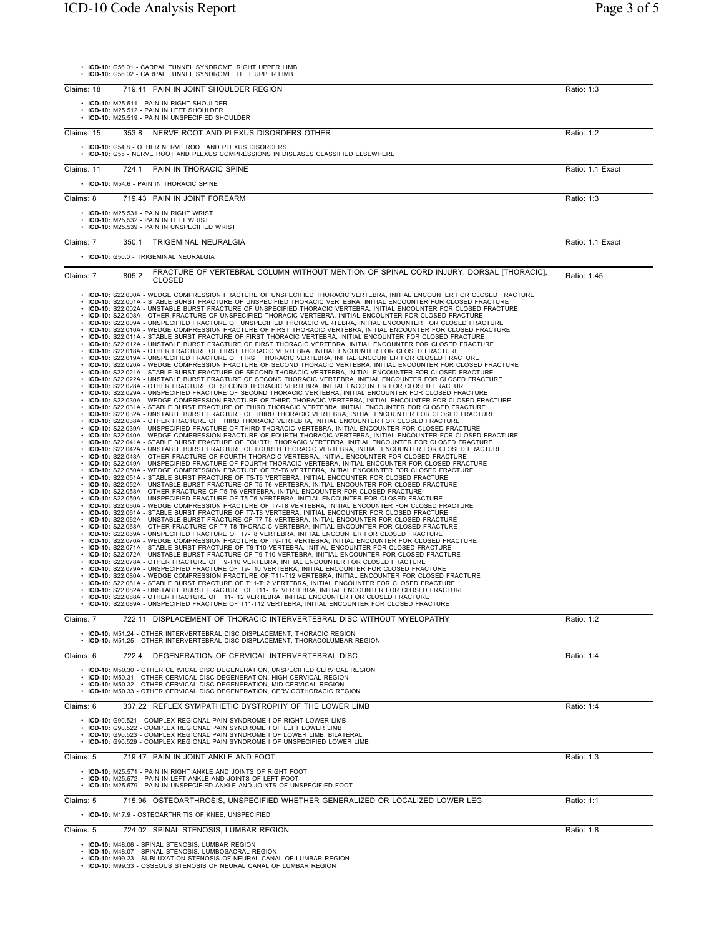• **ICD-10:** G56.01 - CARPAL TUNNEL SYNDROME, RIGHT UPPER LIMB

|            | • ICD-10: G56.02 - CARPAL TUNNEL SYNDROME, LEFT UPPER LIMB                                                                                                                                                                                                                                                                                                                                                                                                                                                                                                                                                                                                                                                                                                                                                                                                                                                                                                                                                                                                                                                                                                                                                                                                                                                                                                                                                                                                                                                                                                                                                                                                                                                                                                                                                                                                                                                                                                                                                                                                                                                                                                                                                                                                                                                                                                                                                                                                                                                                                                                                                                                                                                                                                                                                                                                                                                                                                                                                                                                                                                                                                                                                                                                                                                                                                                                                                                                                                                                                                                                                                                                                                                                                                                                                                                                                                                                                                                                                                                                                                                                                                                                                                                                                                                                                                                                                                                                                                                                                                                                                                                                                                                                                                                                                                                                                                                                                                                                                                                                                                                                      |                  |
|------------|-----------------------------------------------------------------------------------------------------------------------------------------------------------------------------------------------------------------------------------------------------------------------------------------------------------------------------------------------------------------------------------------------------------------------------------------------------------------------------------------------------------------------------------------------------------------------------------------------------------------------------------------------------------------------------------------------------------------------------------------------------------------------------------------------------------------------------------------------------------------------------------------------------------------------------------------------------------------------------------------------------------------------------------------------------------------------------------------------------------------------------------------------------------------------------------------------------------------------------------------------------------------------------------------------------------------------------------------------------------------------------------------------------------------------------------------------------------------------------------------------------------------------------------------------------------------------------------------------------------------------------------------------------------------------------------------------------------------------------------------------------------------------------------------------------------------------------------------------------------------------------------------------------------------------------------------------------------------------------------------------------------------------------------------------------------------------------------------------------------------------------------------------------------------------------------------------------------------------------------------------------------------------------------------------------------------------------------------------------------------------------------------------------------------------------------------------------------------------------------------------------------------------------------------------------------------------------------------------------------------------------------------------------------------------------------------------------------------------------------------------------------------------------------------------------------------------------------------------------------------------------------------------------------------------------------------------------------------------------------------------------------------------------------------------------------------------------------------------------------------------------------------------------------------------------------------------------------------------------------------------------------------------------------------------------------------------------------------------------------------------------------------------------------------------------------------------------------------------------------------------------------------------------------------------------------------------------------------------------------------------------------------------------------------------------------------------------------------------------------------------------------------------------------------------------------------------------------------------------------------------------------------------------------------------------------------------------------------------------------------------------------------------------------------------------------------------------------------------------------------------------------------------------------------------------------------------------------------------------------------------------------------------------------------------------------------------------------------------------------------------------------------------------------------------------------------------------------------------------------------------------------------------------------------------------------------------------------------------------------------------------------------------------------------------------------------------------------------------------------------------------------------------------------------------------------------------------------------------------------------------------------------------------------------------------------------------------------------------------------------------------------------------------------------------------------------------------------------------------------------|------------------|
| Claims: 18 | 719.41 PAIN IN JOINT SHOULDER REGION                                                                                                                                                                                                                                                                                                                                                                                                                                                                                                                                                                                                                                                                                                                                                                                                                                                                                                                                                                                                                                                                                                                                                                                                                                                                                                                                                                                                                                                                                                                                                                                                                                                                                                                                                                                                                                                                                                                                                                                                                                                                                                                                                                                                                                                                                                                                                                                                                                                                                                                                                                                                                                                                                                                                                                                                                                                                                                                                                                                                                                                                                                                                                                                                                                                                                                                                                                                                                                                                                                                                                                                                                                                                                                                                                                                                                                                                                                                                                                                                                                                                                                                                                                                                                                                                                                                                                                                                                                                                                                                                                                                                                                                                                                                                                                                                                                                                                                                                                                                                                                                                            | Ratio: 1:3       |
|            | • ICD-10: M25.511 - PAIN IN RIGHT SHOULDER<br>• ICD-10: M25.512 - PAIN IN LEFT SHOULDER                                                                                                                                                                                                                                                                                                                                                                                                                                                                                                                                                                                                                                                                                                                                                                                                                                                                                                                                                                                                                                                                                                                                                                                                                                                                                                                                                                                                                                                                                                                                                                                                                                                                                                                                                                                                                                                                                                                                                                                                                                                                                                                                                                                                                                                                                                                                                                                                                                                                                                                                                                                                                                                                                                                                                                                                                                                                                                                                                                                                                                                                                                                                                                                                                                                                                                                                                                                                                                                                                                                                                                                                                                                                                                                                                                                                                                                                                                                                                                                                                                                                                                                                                                                                                                                                                                                                                                                                                                                                                                                                                                                                                                                                                                                                                                                                                                                                                                                                                                                                                         |                  |
|            | • ICD-10: M25.519 - PAIN IN UNSPECIFIED SHOULDER                                                                                                                                                                                                                                                                                                                                                                                                                                                                                                                                                                                                                                                                                                                                                                                                                                                                                                                                                                                                                                                                                                                                                                                                                                                                                                                                                                                                                                                                                                                                                                                                                                                                                                                                                                                                                                                                                                                                                                                                                                                                                                                                                                                                                                                                                                                                                                                                                                                                                                                                                                                                                                                                                                                                                                                                                                                                                                                                                                                                                                                                                                                                                                                                                                                                                                                                                                                                                                                                                                                                                                                                                                                                                                                                                                                                                                                                                                                                                                                                                                                                                                                                                                                                                                                                                                                                                                                                                                                                                                                                                                                                                                                                                                                                                                                                                                                                                                                                                                                                                                                                |                  |
| Claims: 15 | 353.8<br>NERVE ROOT AND PLEXUS DISORDERS OTHER                                                                                                                                                                                                                                                                                                                                                                                                                                                                                                                                                                                                                                                                                                                                                                                                                                                                                                                                                                                                                                                                                                                                                                                                                                                                                                                                                                                                                                                                                                                                                                                                                                                                                                                                                                                                                                                                                                                                                                                                                                                                                                                                                                                                                                                                                                                                                                                                                                                                                                                                                                                                                                                                                                                                                                                                                                                                                                                                                                                                                                                                                                                                                                                                                                                                                                                                                                                                                                                                                                                                                                                                                                                                                                                                                                                                                                                                                                                                                                                                                                                                                                                                                                                                                                                                                                                                                                                                                                                                                                                                                                                                                                                                                                                                                                                                                                                                                                                                                                                                                                                                  | Ratio: 1:2       |
|            | • ICD-10: G54.8 - OTHER NERVE ROOT AND PLEXUS DISORDERS<br>• ICD-10: G55 - NERVE ROOT AND PLEXUS COMPRESSIONS IN DISEASES CLASSIFIED ELSEWHERE                                                                                                                                                                                                                                                                                                                                                                                                                                                                                                                                                                                                                                                                                                                                                                                                                                                                                                                                                                                                                                                                                                                                                                                                                                                                                                                                                                                                                                                                                                                                                                                                                                                                                                                                                                                                                                                                                                                                                                                                                                                                                                                                                                                                                                                                                                                                                                                                                                                                                                                                                                                                                                                                                                                                                                                                                                                                                                                                                                                                                                                                                                                                                                                                                                                                                                                                                                                                                                                                                                                                                                                                                                                                                                                                                                                                                                                                                                                                                                                                                                                                                                                                                                                                                                                                                                                                                                                                                                                                                                                                                                                                                                                                                                                                                                                                                                                                                                                                                                  |                  |
|            |                                                                                                                                                                                                                                                                                                                                                                                                                                                                                                                                                                                                                                                                                                                                                                                                                                                                                                                                                                                                                                                                                                                                                                                                                                                                                                                                                                                                                                                                                                                                                                                                                                                                                                                                                                                                                                                                                                                                                                                                                                                                                                                                                                                                                                                                                                                                                                                                                                                                                                                                                                                                                                                                                                                                                                                                                                                                                                                                                                                                                                                                                                                                                                                                                                                                                                                                                                                                                                                                                                                                                                                                                                                                                                                                                                                                                                                                                                                                                                                                                                                                                                                                                                                                                                                                                                                                                                                                                                                                                                                                                                                                                                                                                                                                                                                                                                                                                                                                                                                                                                                                                                                 |                  |
| Claims: 11 | PAIN IN THORACIC SPINE<br>724.1                                                                                                                                                                                                                                                                                                                                                                                                                                                                                                                                                                                                                                                                                                                                                                                                                                                                                                                                                                                                                                                                                                                                                                                                                                                                                                                                                                                                                                                                                                                                                                                                                                                                                                                                                                                                                                                                                                                                                                                                                                                                                                                                                                                                                                                                                                                                                                                                                                                                                                                                                                                                                                                                                                                                                                                                                                                                                                                                                                                                                                                                                                                                                                                                                                                                                                                                                                                                                                                                                                                                                                                                                                                                                                                                                                                                                                                                                                                                                                                                                                                                                                                                                                                                                                                                                                                                                                                                                                                                                                                                                                                                                                                                                                                                                                                                                                                                                                                                                                                                                                                                                 | Ratio: 1:1 Exact |
|            | • ICD-10: M54.6 - PAIN IN THORACIC SPINE                                                                                                                                                                                                                                                                                                                                                                                                                                                                                                                                                                                                                                                                                                                                                                                                                                                                                                                                                                                                                                                                                                                                                                                                                                                                                                                                                                                                                                                                                                                                                                                                                                                                                                                                                                                                                                                                                                                                                                                                                                                                                                                                                                                                                                                                                                                                                                                                                                                                                                                                                                                                                                                                                                                                                                                                                                                                                                                                                                                                                                                                                                                                                                                                                                                                                                                                                                                                                                                                                                                                                                                                                                                                                                                                                                                                                                                                                                                                                                                                                                                                                                                                                                                                                                                                                                                                                                                                                                                                                                                                                                                                                                                                                                                                                                                                                                                                                                                                                                                                                                                                        |                  |
| Claims: 8  | 719.43 PAIN IN JOINT FOREARM                                                                                                                                                                                                                                                                                                                                                                                                                                                                                                                                                                                                                                                                                                                                                                                                                                                                                                                                                                                                                                                                                                                                                                                                                                                                                                                                                                                                                                                                                                                                                                                                                                                                                                                                                                                                                                                                                                                                                                                                                                                                                                                                                                                                                                                                                                                                                                                                                                                                                                                                                                                                                                                                                                                                                                                                                                                                                                                                                                                                                                                                                                                                                                                                                                                                                                                                                                                                                                                                                                                                                                                                                                                                                                                                                                                                                                                                                                                                                                                                                                                                                                                                                                                                                                                                                                                                                                                                                                                                                                                                                                                                                                                                                                                                                                                                                                                                                                                                                                                                                                                                                    | Ratio: 1:3       |
|            | $\cdot$ ICD-10: M25.531 - PAIN IN RIGHT WRIST<br>• ICD-10: M25.532 - PAIN IN LEFT WRIST<br>• ICD-10: M25.539 - PAIN IN UNSPECIFIED WRIST                                                                                                                                                                                                                                                                                                                                                                                                                                                                                                                                                                                                                                                                                                                                                                                                                                                                                                                                                                                                                                                                                                                                                                                                                                                                                                                                                                                                                                                                                                                                                                                                                                                                                                                                                                                                                                                                                                                                                                                                                                                                                                                                                                                                                                                                                                                                                                                                                                                                                                                                                                                                                                                                                                                                                                                                                                                                                                                                                                                                                                                                                                                                                                                                                                                                                                                                                                                                                                                                                                                                                                                                                                                                                                                                                                                                                                                                                                                                                                                                                                                                                                                                                                                                                                                                                                                                                                                                                                                                                                                                                                                                                                                                                                                                                                                                                                                                                                                                                                        |                  |
| Claims: 7  | TRIGEMINAL NEURALGIA<br>350.1                                                                                                                                                                                                                                                                                                                                                                                                                                                                                                                                                                                                                                                                                                                                                                                                                                                                                                                                                                                                                                                                                                                                                                                                                                                                                                                                                                                                                                                                                                                                                                                                                                                                                                                                                                                                                                                                                                                                                                                                                                                                                                                                                                                                                                                                                                                                                                                                                                                                                                                                                                                                                                                                                                                                                                                                                                                                                                                                                                                                                                                                                                                                                                                                                                                                                                                                                                                                                                                                                                                                                                                                                                                                                                                                                                                                                                                                                                                                                                                                                                                                                                                                                                                                                                                                                                                                                                                                                                                                                                                                                                                                                                                                                                                                                                                                                                                                                                                                                                                                                                                                                   | Ratio: 1:1 Exact |
|            | • ICD-10: G50.0 - TRIGEMINAL NEURALGIA                                                                                                                                                                                                                                                                                                                                                                                                                                                                                                                                                                                                                                                                                                                                                                                                                                                                                                                                                                                                                                                                                                                                                                                                                                                                                                                                                                                                                                                                                                                                                                                                                                                                                                                                                                                                                                                                                                                                                                                                                                                                                                                                                                                                                                                                                                                                                                                                                                                                                                                                                                                                                                                                                                                                                                                                                                                                                                                                                                                                                                                                                                                                                                                                                                                                                                                                                                                                                                                                                                                                                                                                                                                                                                                                                                                                                                                                                                                                                                                                                                                                                                                                                                                                                                                                                                                                                                                                                                                                                                                                                                                                                                                                                                                                                                                                                                                                                                                                                                                                                                                                          |                  |
| Claims: 7  | FRACTURE OF VERTEBRAL COLUMN WITHOUT MENTION OF SPINAL CORD INJURY, DORSAL [THORACIC],<br>805.2<br><b>CLOSED</b>                                                                                                                                                                                                                                                                                                                                                                                                                                                                                                                                                                                                                                                                                                                                                                                                                                                                                                                                                                                                                                                                                                                                                                                                                                                                                                                                                                                                                                                                                                                                                                                                                                                                                                                                                                                                                                                                                                                                                                                                                                                                                                                                                                                                                                                                                                                                                                                                                                                                                                                                                                                                                                                                                                                                                                                                                                                                                                                                                                                                                                                                                                                                                                                                                                                                                                                                                                                                                                                                                                                                                                                                                                                                                                                                                                                                                                                                                                                                                                                                                                                                                                                                                                                                                                                                                                                                                                                                                                                                                                                                                                                                                                                                                                                                                                                                                                                                                                                                                                                                | Ratio: 1:45      |
|            | . ICD-10: S22.000A - WEDGE COMPRESSION FRACTURE OF UNSPECIFIED THORACIC VERTEBRA, INITIAL ENCOUNTER FOR CLOSED FRACTURE<br>• ICD-10: S22.001A - STABLE BURST FRACTURE OF UNSPECIFIED THORACIC VERTEBRA, INITIAL ENCOUNTER FOR CLOSED FRACTURE<br>• ICD-10: S22.002A - UNSTABLE BURST FRACTURE OF UNSPECIFIED THORACIC VERTEBRA. INITIAL ENCOUNTER FOR CLOSED FRACTURE<br>• ICD-10: S22.008A - OTHER FRACTURE OF UNSPECIFIED THORACIC VERTEBRA, INITIAL ENCOUNTER FOR CLOSED FRACTURE<br>· ICD-10: S22.009A - UNSPECIFIED FRACTURE OF UNSPECIFIED THORACIC VERTEBRA, INITIAL ENCOUNTER FOR CLOSED FRACTURE<br>· ICD-10: S22.010A - WEDGE COMPRESSION FRACTURE OF FIRST THORACIC VERTEBRA, INITIAL ENCOUNTER FOR CLOSED FRACTURE<br>· ICD-10: S22.011A - STABLE BURST FRACTURE OF FIRST THORACIC VERTEBRA, INITIAL ENCOUNTER FOR CLOSED FRACTURE<br>· ICD-10: S22.012A - UNSTABLE BURST FRACTURE OF FIRST THORACIC VERTEBRA, INITIAL ENCOUNTER FOR CLOSED FRACTURE<br>· ICD-10: S22.018A - OTHER FRACTURE OF FIRST THORACIC VERTEBRA, INITIAL ENCOUNTER FOR CLOSED FRACTURE<br>· ICD-10: S22.019A - UNSPECIFIED FRACTURE OF FIRST THORACIC VERTEBRA, INITIAL ENCOUNTER FOR CLOSED FRACTURE<br>· ICD-10: S22.020A - WEDGE COMPRESSION FRACTURE OF SECOND THORACIC VERTEBRA, INITIAL ENCOUNTER FOR CLOSED FRACTURE<br>· ICD-10: S22.021A - STABLE BURST FRACTURE OF SECOND THORACIC VERTEBRA, INITIAL ENCOUNTER FOR CLOSED FRACTURE<br>· ICD-10: S22.022A - UNSTABLE BURST FRACTURE OF SECOND THORACIC VERTEBRA, INITIAL ENCOUNTER FOR CLOSED FRACTURE<br>· ICD-10: S22.028A - OTHER FRACTURE OF SECOND THORACIC VERTEBRA, INITIAL ENCOUNTER FOR CLOSED FRACTURE<br>· ICD-10: S22.029A - UNSPECIFIED FRACTURE OF SECOND THORACIC VERTEBRA, INITIAL ENCOUNTER FOR CLOSED FRACTURE<br>· ICD-10: S22.030A - WEDGE COMPRESSION FRACTURE OF THIRD THORACIC VERTEBRA, INITIAL ENCOUNTER FOR CLOSED FRACTURE<br>· ICD-10: S22.031A - STABLE BURST FRACTURE OF THIRD THORACIC VERTEBRA, INITIAL ENCOUNTER FOR CLOSED FRACTURE<br>· ICD-10: S22.032A - UNSTABLE BURST FRACTURE OF THIRD THORACIC VERTEBRA, INITIAL ENCOUNTER FOR CLOSED FRACTURE<br>· ICD-10: S22.038A - OTHER FRACTURE OF THIRD THORACIC VERTEBRA, INITIAL ENCOUNTER FOR CLOSED FRACTURE<br>· ICD-10: S22.039A - UNSPECIFIED FRACTURE OF THIRD THORACIC VERTEBRA, INITIAL ENCOUNTER FOR CLOSED FRACTURE<br>· ICD-10: S22.040A - WEDGE COMPRESSION FRACTURE OF FOURTH THORACIC VERTEBRA, INITIAL ENCOUNTER FOR CLOSED FRACTURE<br>· ICD-10: S22.041A - STABLE BURST FRACTURE OF FOURTH THORACIC VERTEBRA, INITIAL ENCOUNTER FOR CLOSED FRACTURE<br>· ICD-10: S22.042A - UNSTABLE BURST FRACTURE OF FOURTH THORACIC VERTEBRA, INITIAL ENCOUNTER FOR CLOSED FRACTURE<br>· ICD-10: S22.048A - OTHER FRACTURE OF FOURTH THORACIC VERTEBRA, INITIAL ENCOUNTER FOR CLOSED FRACTURE<br>· ICD-10: S22.049A - UNSPECIFIED FRACTURE OF FOURTH THORACIC VERTEBRA, INITIAL ENCOUNTER FOR CLOSED FRACTURE<br>· ICD-10: S22.050A - WEDGE COMPRESSION FRACTURE OF T5-T6 VERTEBRA, INITIAL ENCOUNTER FOR CLOSED FRACTURE<br>· ICD-10: S22.051A - STABLE BURST FRACTURE OF T5-T6 VERTEBRA, INITIAL ENCOUNTER FOR CLOSED FRACTURE<br>· ICD-10: S22.052A - UNSTABLE BURST FRACTURE OF T5-T6 VERTEBRA, INITIAL ENCOUNTER FOR CLOSED FRACTURE<br>· ICD-10: S22.058A - OTHER FRACTURE OF T5-T6 VERTEBRA, INITIAL ENCOUNTER FOR CLOSED FRACTURE<br>· ICD-10: S22.059A - UNSPECIFIED FRACTURE OF T5-T6 VERTEBRA, INITIAL ENCOUNTER FOR CLOSED FRACTURE<br>· ICD-10: S22.060A - WEDGE COMPRESSION FRACTURE OF T7-T8 VERTEBRA, INITIAL ENCOUNTER FOR CLOSED FRACTURE<br>. ICD-10: S22.061A - STABLE BURST FRACTURE OF T7-T8 VERTEBRA, INITIAL ENCOUNTER FOR CLOSED FRACTURE<br>· ICD-10: S22.062A - UNSTABLE BURST FRACTURE OF T7-T8 VERTEBRA, INITIAL ENCOUNTER FOR CLOSED FRACTURE<br>· ICD-10: S22.068A - OTHER FRACTURE OF T7-T8 THORACIC VERTEBRA, INITIAL ENCOUNTER FOR CLOSED FRACTURE<br>• ICD-10: S22.069A - UNSPECIFIED FRACTURE OF T7-T8 VERTEBRA, INITIAL ENCOUNTER FOR CLOSED FRACTURE<br>• ICD-10: S22.070A - WEDGE COMPRESSION FRACTURE OF T9-T10 VERTEBRA, INITIAL ENCOUNTER FOR CLOSED FRACTURE<br>· ICD-10: S22.071A - STABLE BURST FRACTURE OF T9-T10 VERTEBRA, INITIAL ENCOUNTER FOR CLOSED FRACTURE<br>· ICD-10: S22.072A - UNSTABLE BURST FRACTURE OF T9-T10 VERTEBRA, INITIAL ENCOUNTER FOR CLOSED FRACTURE<br>• ICD-10: S22.078A - OTHER FRACTURE OF T9-T10 VERTEBRA, INITIAL ENCOUNTER FOR CLOSED FRACTURE<br>• ICD-10: S22.079A - UNSPECIFIED FRACTURE OF T9-T10 VERTEBRA, INITIAL ENCOUNTER FOR CLOSED FRACTURE<br>· ICD-10: S22.080A - WEDGE COMPRESSION FRACTURE OF T11-T12 VERTEBRA, INITIAL ENCOUNTER FOR CLOSED FRACTURE<br>· ICD-10: S22.081A - STABLE BURST FRACTURE OF T11-T12 VERTEBRA, INITIAL ENCOUNTER FOR CLOSED FRACTURE<br>· ICD-10: S22.082A - UNSTABLE BURST FRACTURE OF T11-T12 VERTEBRA, INITIAL ENCOUNTER FOR CLOSED FRACTURE<br>• ICD-10: S22.088A - OTHER FRACTURE OF T11-T12 VERTEBRA, INITIAL ENCOUNTER FOR CLOSED FRACTURE<br>• ICD-10: S22.089A - UNSPECIFIED FRACTURE OF T11-T12 VERTEBRA. INITIAL ENCOUNTER FOR CLOSED FRACTURE |                  |
| Claims: 7  | 722.11 DISPLACEMENT OF THORACIC INTERVERTEBRAL DISC WITHOUT MYELOPATHY                                                                                                                                                                                                                                                                                                                                                                                                                                                                                                                                                                                                                                                                                                                                                                                                                                                                                                                                                                                                                                                                                                                                                                                                                                                                                                                                                                                                                                                                                                                                                                                                                                                                                                                                                                                                                                                                                                                                                                                                                                                                                                                                                                                                                                                                                                                                                                                                                                                                                                                                                                                                                                                                                                                                                                                                                                                                                                                                                                                                                                                                                                                                                                                                                                                                                                                                                                                                                                                                                                                                                                                                                                                                                                                                                                                                                                                                                                                                                                                                                                                                                                                                                                                                                                                                                                                                                                                                                                                                                                                                                                                                                                                                                                                                                                                                                                                                                                                                                                                                                                          | Ratio: 1:2       |
|            | • ICD-10: M51.24 - OTHER INTERVERTEBRAL DISC DISPLACEMENT, THORACIC REGION<br>• ICD-10: M51.25 - OTHER INTERVERTEBRAL DISC DISPLACEMENT, THORACOLUMBAR REGION                                                                                                                                                                                                                                                                                                                                                                                                                                                                                                                                                                                                                                                                                                                                                                                                                                                                                                                                                                                                                                                                                                                                                                                                                                                                                                                                                                                                                                                                                                                                                                                                                                                                                                                                                                                                                                                                                                                                                                                                                                                                                                                                                                                                                                                                                                                                                                                                                                                                                                                                                                                                                                                                                                                                                                                                                                                                                                                                                                                                                                                                                                                                                                                                                                                                                                                                                                                                                                                                                                                                                                                                                                                                                                                                                                                                                                                                                                                                                                                                                                                                                                                                                                                                                                                                                                                                                                                                                                                                                                                                                                                                                                                                                                                                                                                                                                                                                                                                                   |                  |
| Claims: 6  | DEGENERATION OF CERVICAL INTERVERTEBRAL DISC<br>722.4                                                                                                                                                                                                                                                                                                                                                                                                                                                                                                                                                                                                                                                                                                                                                                                                                                                                                                                                                                                                                                                                                                                                                                                                                                                                                                                                                                                                                                                                                                                                                                                                                                                                                                                                                                                                                                                                                                                                                                                                                                                                                                                                                                                                                                                                                                                                                                                                                                                                                                                                                                                                                                                                                                                                                                                                                                                                                                                                                                                                                                                                                                                                                                                                                                                                                                                                                                                                                                                                                                                                                                                                                                                                                                                                                                                                                                                                                                                                                                                                                                                                                                                                                                                                                                                                                                                                                                                                                                                                                                                                                                                                                                                                                                                                                                                                                                                                                                                                                                                                                                                           | Ratio: 1:4       |
|            | • ICD-10: M50.30 - OTHER CERVICAL DISC DEGENERATION, UNSPECIFIED CERVICAL REGION                                                                                                                                                                                                                                                                                                                                                                                                                                                                                                                                                                                                                                                                                                                                                                                                                                                                                                                                                                                                                                                                                                                                                                                                                                                                                                                                                                                                                                                                                                                                                                                                                                                                                                                                                                                                                                                                                                                                                                                                                                                                                                                                                                                                                                                                                                                                                                                                                                                                                                                                                                                                                                                                                                                                                                                                                                                                                                                                                                                                                                                                                                                                                                                                                                                                                                                                                                                                                                                                                                                                                                                                                                                                                                                                                                                                                                                                                                                                                                                                                                                                                                                                                                                                                                                                                                                                                                                                                                                                                                                                                                                                                                                                                                                                                                                                                                                                                                                                                                                                                                |                  |
|            | • ICD-10: M50.31 - OTHER CERVICAL DISC DEGENERATION, HIGH CERVICAL REGION<br>• ICD-10: M50.32 - OTHER CERVICAL DISC DEGENERATION, MID-CERVICAL REGION<br>• ICD-10: M50.33 - OTHER CERVICAL DISC DEGENERATION. CERVICOTHORACIC REGION                                                                                                                                                                                                                                                                                                                                                                                                                                                                                                                                                                                                                                                                                                                                                                                                                                                                                                                                                                                                                                                                                                                                                                                                                                                                                                                                                                                                                                                                                                                                                                                                                                                                                                                                                                                                                                                                                                                                                                                                                                                                                                                                                                                                                                                                                                                                                                                                                                                                                                                                                                                                                                                                                                                                                                                                                                                                                                                                                                                                                                                                                                                                                                                                                                                                                                                                                                                                                                                                                                                                                                                                                                                                                                                                                                                                                                                                                                                                                                                                                                                                                                                                                                                                                                                                                                                                                                                                                                                                                                                                                                                                                                                                                                                                                                                                                                                                            |                  |
| Claims: 6  | 337.22 REFLEX SYMPATHETIC DYSTROPHY OF THE LOWER LIMB                                                                                                                                                                                                                                                                                                                                                                                                                                                                                                                                                                                                                                                                                                                                                                                                                                                                                                                                                                                                                                                                                                                                                                                                                                                                                                                                                                                                                                                                                                                                                                                                                                                                                                                                                                                                                                                                                                                                                                                                                                                                                                                                                                                                                                                                                                                                                                                                                                                                                                                                                                                                                                                                                                                                                                                                                                                                                                                                                                                                                                                                                                                                                                                                                                                                                                                                                                                                                                                                                                                                                                                                                                                                                                                                                                                                                                                                                                                                                                                                                                                                                                                                                                                                                                                                                                                                                                                                                                                                                                                                                                                                                                                                                                                                                                                                                                                                                                                                                                                                                                                           | Ratio: 1:4       |
|            | • ICD-10: G90.521 - COMPLEX REGIONAL PAIN SYNDROME I OF RIGHT LOWER LIMB                                                                                                                                                                                                                                                                                                                                                                                                                                                                                                                                                                                                                                                                                                                                                                                                                                                                                                                                                                                                                                                                                                                                                                                                                                                                                                                                                                                                                                                                                                                                                                                                                                                                                                                                                                                                                                                                                                                                                                                                                                                                                                                                                                                                                                                                                                                                                                                                                                                                                                                                                                                                                                                                                                                                                                                                                                                                                                                                                                                                                                                                                                                                                                                                                                                                                                                                                                                                                                                                                                                                                                                                                                                                                                                                                                                                                                                                                                                                                                                                                                                                                                                                                                                                                                                                                                                                                                                                                                                                                                                                                                                                                                                                                                                                                                                                                                                                                                                                                                                                                                        |                  |
|            | • ICD-10: G90.522 - COMPLEX REGIONAL PAIN SYNDROME I OF LEFT LOWER LIMB<br>• ICD-10: G90.523 - COMPLEX REGIONAL PAIN SYNDROME I OF LOWER LIMB, BILATERAL<br>• ICD-10: G90.529 - COMPLEX REGIONAL PAIN SYNDROME I OF UNSPECIFIED LOWER LIMB                                                                                                                                                                                                                                                                                                                                                                                                                                                                                                                                                                                                                                                                                                                                                                                                                                                                                                                                                                                                                                                                                                                                                                                                                                                                                                                                                                                                                                                                                                                                                                                                                                                                                                                                                                                                                                                                                                                                                                                                                                                                                                                                                                                                                                                                                                                                                                                                                                                                                                                                                                                                                                                                                                                                                                                                                                                                                                                                                                                                                                                                                                                                                                                                                                                                                                                                                                                                                                                                                                                                                                                                                                                                                                                                                                                                                                                                                                                                                                                                                                                                                                                                                                                                                                                                                                                                                                                                                                                                                                                                                                                                                                                                                                                                                                                                                                                                      |                  |
| Claims: 5  | 719.47 PAIN IN JOINT ANKLE AND FOOT                                                                                                                                                                                                                                                                                                                                                                                                                                                                                                                                                                                                                                                                                                                                                                                                                                                                                                                                                                                                                                                                                                                                                                                                                                                                                                                                                                                                                                                                                                                                                                                                                                                                                                                                                                                                                                                                                                                                                                                                                                                                                                                                                                                                                                                                                                                                                                                                                                                                                                                                                                                                                                                                                                                                                                                                                                                                                                                                                                                                                                                                                                                                                                                                                                                                                                                                                                                                                                                                                                                                                                                                                                                                                                                                                                                                                                                                                                                                                                                                                                                                                                                                                                                                                                                                                                                                                                                                                                                                                                                                                                                                                                                                                                                                                                                                                                                                                                                                                                                                                                                                             | Ratio: 1:3       |
|            | • ICD-10: M25.571 - PAIN IN RIGHT ANKLE AND JOINTS OF RIGHT FOOT<br>• ICD-10: M25.572 - PAIN IN LEFT ANKLE AND JOINTS OF LEFT FOOT<br>• ICD-10: M25.579 - PAIN IN UNSPECIFIED ANKLE AND JOINTS OF UNSPECIFIED FOOT                                                                                                                                                                                                                                                                                                                                                                                                                                                                                                                                                                                                                                                                                                                                                                                                                                                                                                                                                                                                                                                                                                                                                                                                                                                                                                                                                                                                                                                                                                                                                                                                                                                                                                                                                                                                                                                                                                                                                                                                                                                                                                                                                                                                                                                                                                                                                                                                                                                                                                                                                                                                                                                                                                                                                                                                                                                                                                                                                                                                                                                                                                                                                                                                                                                                                                                                                                                                                                                                                                                                                                                                                                                                                                                                                                                                                                                                                                                                                                                                                                                                                                                                                                                                                                                                                                                                                                                                                                                                                                                                                                                                                                                                                                                                                                                                                                                                                              |                  |
| Claims: 5  | 715.96 OSTEOARTHROSIS, UNSPECIFIED WHETHER GENERALIZED OR LOCALIZED LOWER LEG                                                                                                                                                                                                                                                                                                                                                                                                                                                                                                                                                                                                                                                                                                                                                                                                                                                                                                                                                                                                                                                                                                                                                                                                                                                                                                                                                                                                                                                                                                                                                                                                                                                                                                                                                                                                                                                                                                                                                                                                                                                                                                                                                                                                                                                                                                                                                                                                                                                                                                                                                                                                                                                                                                                                                                                                                                                                                                                                                                                                                                                                                                                                                                                                                                                                                                                                                                                                                                                                                                                                                                                                                                                                                                                                                                                                                                                                                                                                                                                                                                                                                                                                                                                                                                                                                                                                                                                                                                                                                                                                                                                                                                                                                                                                                                                                                                                                                                                                                                                                                                   | Ratio: 1:1       |
|            | • ICD-10: M17.9 - OSTEOARTHRITIS OF KNEE, UNSPECIFIED                                                                                                                                                                                                                                                                                                                                                                                                                                                                                                                                                                                                                                                                                                                                                                                                                                                                                                                                                                                                                                                                                                                                                                                                                                                                                                                                                                                                                                                                                                                                                                                                                                                                                                                                                                                                                                                                                                                                                                                                                                                                                                                                                                                                                                                                                                                                                                                                                                                                                                                                                                                                                                                                                                                                                                                                                                                                                                                                                                                                                                                                                                                                                                                                                                                                                                                                                                                                                                                                                                                                                                                                                                                                                                                                                                                                                                                                                                                                                                                                                                                                                                                                                                                                                                                                                                                                                                                                                                                                                                                                                                                                                                                                                                                                                                                                                                                                                                                                                                                                                                                           |                  |
| Claims: 5  | 724.02 SPINAL STENOSIS, LUMBAR REGION                                                                                                                                                                                                                                                                                                                                                                                                                                                                                                                                                                                                                                                                                                                                                                                                                                                                                                                                                                                                                                                                                                                                                                                                                                                                                                                                                                                                                                                                                                                                                                                                                                                                                                                                                                                                                                                                                                                                                                                                                                                                                                                                                                                                                                                                                                                                                                                                                                                                                                                                                                                                                                                                                                                                                                                                                                                                                                                                                                                                                                                                                                                                                                                                                                                                                                                                                                                                                                                                                                                                                                                                                                                                                                                                                                                                                                                                                                                                                                                                                                                                                                                                                                                                                                                                                                                                                                                                                                                                                                                                                                                                                                                                                                                                                                                                                                                                                                                                                                                                                                                                           | Ratio: 1:8       |
|            | • ICD-10: M48.06 - SPINAL STENOSIS, LUMBAR REGION<br>• ICD-10: M48.07 - SPINAL STENOSIS, LUMBOSACRAL REGION<br>• ICD-10: M99.23 - SUBLUXATION STENOSIS OF NEURAL CANAL OF LUMBAR REGION                                                                                                                                                                                                                                                                                                                                                                                                                                                                                                                                                                                                                                                                                                                                                                                                                                                                                                                                                                                                                                                                                                                                                                                                                                                                                                                                                                                                                                                                                                                                                                                                                                                                                                                                                                                                                                                                                                                                                                                                                                                                                                                                                                                                                                                                                                                                                                                                                                                                                                                                                                                                                                                                                                                                                                                                                                                                                                                                                                                                                                                                                                                                                                                                                                                                                                                                                                                                                                                                                                                                                                                                                                                                                                                                                                                                                                                                                                                                                                                                                                                                                                                                                                                                                                                                                                                                                                                                                                                                                                                                                                                                                                                                                                                                                                                                                                                                                                                         |                  |

• **ICD-10:** M99.23 - SUBLUXATION STENOSIS OF NEURAL CANAL OF LUMBAR REGION • **ICD-10:** M99.33 - OSSEOUS STENOSIS OF NEURAL CANAL OF LUMBAR REGION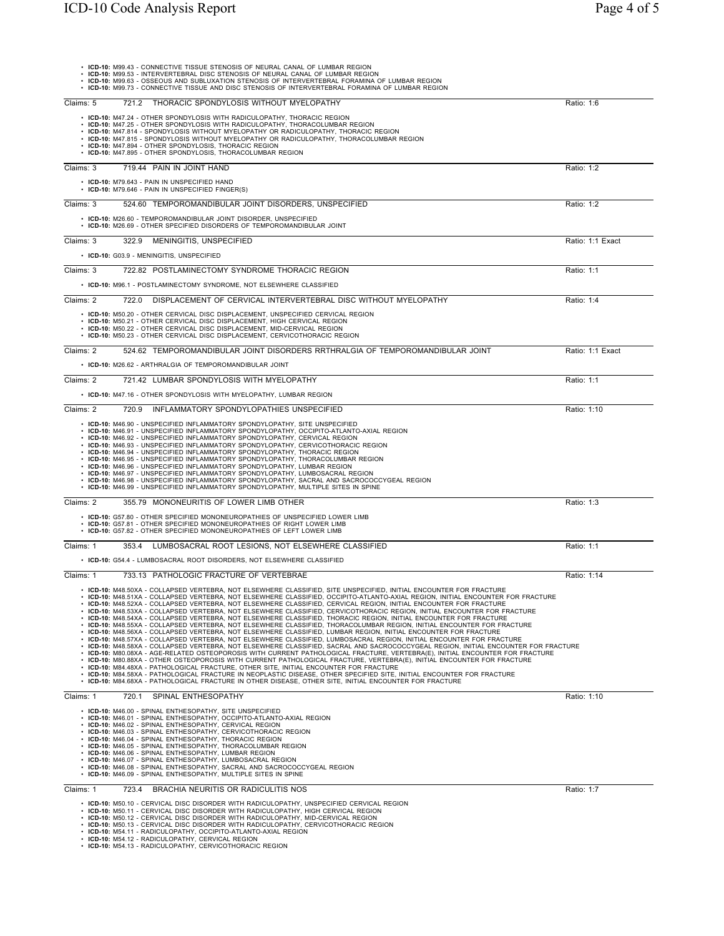|           | • ICD-10: M99.43 - CONNECTIVE TISSUE STENOSIS OF NEURAL CANAL OF LUMBAR REGION<br>• ICD-10: M99.53 - INTERVERTEBRAL DISC STENOSIS OF NEURAL CANAL OF LUMBAR REGION<br>. ICD-10: M99.63 - OSSEOUS AND SUBLUXATION STENOSIS OF INTERVERTEBRAL FORAMINA OF LUMBAR REGION<br>. ICD-10: M99.73 - CONNECTIVE TISSUE AND DISC STENOSIS OF INTERVERTEBRAL FORAMINA OF LUMBAR REGION                                                                                                                                                                                                                                                                                                                                                                                                                                                                                                                                                                                                                                                                                                                                                                                                                                                                                                                                                                                                                                                                                                                                                                                                                                                                                                                                                              |             |                  |
|-----------|------------------------------------------------------------------------------------------------------------------------------------------------------------------------------------------------------------------------------------------------------------------------------------------------------------------------------------------------------------------------------------------------------------------------------------------------------------------------------------------------------------------------------------------------------------------------------------------------------------------------------------------------------------------------------------------------------------------------------------------------------------------------------------------------------------------------------------------------------------------------------------------------------------------------------------------------------------------------------------------------------------------------------------------------------------------------------------------------------------------------------------------------------------------------------------------------------------------------------------------------------------------------------------------------------------------------------------------------------------------------------------------------------------------------------------------------------------------------------------------------------------------------------------------------------------------------------------------------------------------------------------------------------------------------------------------------------------------------------------------|-------------|------------------|
| Claims: 5 | THORACIC SPONDYLOSIS WITHOUT MYELOPATHY<br>721.2                                                                                                                                                                                                                                                                                                                                                                                                                                                                                                                                                                                                                                                                                                                                                                                                                                                                                                                                                                                                                                                                                                                                                                                                                                                                                                                                                                                                                                                                                                                                                                                                                                                                                         | Ratio: 1:6  |                  |
|           | • ICD-10: M47.24 - OTHER SPONDYLOSIS WITH RADICULOPATHY, THORACIC REGION<br>• ICD-10: M47.25 - OTHER SPONDYLOSIS WITH RADICULOPATHY, THORACOLUMBAR REGION<br>• ICD-10: M47.814 - SPONDYLOSIS WITHOUT MYELOPATHY OR RADICULOPATHY, THORACIC REGION<br>• ICD-10: M47.815 - SPONDYLOSIS WITHOUT MYELOPATHY OR RADICULOPATHY, THORACOLUMBAR REGION<br>• ICD-10: M47.894 - OTHER SPONDYLOSIS, THORACIC REGION<br>• ICD-10: M47.895 - OTHER SPONDYLOSIS, THORACOLUMBAR REGION                                                                                                                                                                                                                                                                                                                                                                                                                                                                                                                                                                                                                                                                                                                                                                                                                                                                                                                                                                                                                                                                                                                                                                                                                                                                  |             |                  |
| Claims: 3 | 719.44 PAIN IN JOINT HAND                                                                                                                                                                                                                                                                                                                                                                                                                                                                                                                                                                                                                                                                                                                                                                                                                                                                                                                                                                                                                                                                                                                                                                                                                                                                                                                                                                                                                                                                                                                                                                                                                                                                                                                | Ratio: 1:2  |                  |
|           | • ICD-10: M79.643 - PAIN IN UNSPECIFIED HAND<br>• ICD-10: M79.646 - PAIN IN UNSPECIFIED FINGER(S)                                                                                                                                                                                                                                                                                                                                                                                                                                                                                                                                                                                                                                                                                                                                                                                                                                                                                                                                                                                                                                                                                                                                                                                                                                                                                                                                                                                                                                                                                                                                                                                                                                        |             |                  |
| Claims: 3 | 524.60 TEMPOROMANDIBULAR JOINT DISORDERS, UNSPECIFIED                                                                                                                                                                                                                                                                                                                                                                                                                                                                                                                                                                                                                                                                                                                                                                                                                                                                                                                                                                                                                                                                                                                                                                                                                                                                                                                                                                                                                                                                                                                                                                                                                                                                                    | Ratio: 1:2  |                  |
|           | • ICD-10: M26.60 - TEMPOROMANDIBULAR JOINT DISORDER, UNSPECIFIED<br>• ICD-10: M26.69 - OTHER SPECIFIED DISORDERS OF TEMPOROMANDIBULAR JOINT                                                                                                                                                                                                                                                                                                                                                                                                                                                                                                                                                                                                                                                                                                                                                                                                                                                                                                                                                                                                                                                                                                                                                                                                                                                                                                                                                                                                                                                                                                                                                                                              |             |                  |
| Claims: 3 | 322.9<br>MENINGITIS, UNSPECIFIED                                                                                                                                                                                                                                                                                                                                                                                                                                                                                                                                                                                                                                                                                                                                                                                                                                                                                                                                                                                                                                                                                                                                                                                                                                                                                                                                                                                                                                                                                                                                                                                                                                                                                                         |             | Ratio: 1:1 Exact |
|           | • ICD-10: G03.9 - MENINGITIS, UNSPECIFIED                                                                                                                                                                                                                                                                                                                                                                                                                                                                                                                                                                                                                                                                                                                                                                                                                                                                                                                                                                                                                                                                                                                                                                                                                                                                                                                                                                                                                                                                                                                                                                                                                                                                                                |             |                  |
| Claims: 3 | 722.82 POSTLAMINECTOMY SYNDROME THORACIC REGION                                                                                                                                                                                                                                                                                                                                                                                                                                                                                                                                                                                                                                                                                                                                                                                                                                                                                                                                                                                                                                                                                                                                                                                                                                                                                                                                                                                                                                                                                                                                                                                                                                                                                          | Ratio: 1:1  |                  |
|           | • ICD-10: M96.1 - POSTLAMINECTOMY SYNDROME, NOT ELSEWHERE CLASSIFIED                                                                                                                                                                                                                                                                                                                                                                                                                                                                                                                                                                                                                                                                                                                                                                                                                                                                                                                                                                                                                                                                                                                                                                                                                                                                                                                                                                                                                                                                                                                                                                                                                                                                     |             |                  |
| Claims: 2 | 722.0 DISPLACEMENT OF CERVICAL INTERVERTEBRAL DISC WITHOUT MYELOPATHY                                                                                                                                                                                                                                                                                                                                                                                                                                                                                                                                                                                                                                                                                                                                                                                                                                                                                                                                                                                                                                                                                                                                                                                                                                                                                                                                                                                                                                                                                                                                                                                                                                                                    | Ratio: 1:4  |                  |
|           | • ICD-10: M50.20 - OTHER CERVICAL DISC DISPLACEMENT, UNSPECIFIED CERVICAL REGION<br>• ICD-10: M50.21 - OTHER CERVICAL DISC DISPLACEMENT, HIGH CERVICAL REGION<br>• ICD-10: M50.22 - OTHER CERVICAL DISC DISPLACEMENT, MID-CERVICAL REGION<br>• ICD-10: M50.23 - OTHER CERVICAL DISC DISPLACEMENT, CERVICOTHORACIC REGION                                                                                                                                                                                                                                                                                                                                                                                                                                                                                                                                                                                                                                                                                                                                                                                                                                                                                                                                                                                                                                                                                                                                                                                                                                                                                                                                                                                                                 |             |                  |
| Claims: 2 | 524.62 TEMPOROMANDIBULAR JOINT DISORDERS RRTHRALGIA OF TEMPOROMANDIBULAR JOINT                                                                                                                                                                                                                                                                                                                                                                                                                                                                                                                                                                                                                                                                                                                                                                                                                                                                                                                                                                                                                                                                                                                                                                                                                                                                                                                                                                                                                                                                                                                                                                                                                                                           |             | Ratio: 1:1 Exact |
|           | • ICD-10: M26.62 - ARTHRALGIA OF TEMPOROMANDIBULAR JOINT                                                                                                                                                                                                                                                                                                                                                                                                                                                                                                                                                                                                                                                                                                                                                                                                                                                                                                                                                                                                                                                                                                                                                                                                                                                                                                                                                                                                                                                                                                                                                                                                                                                                                 |             |                  |
| Claims: 2 | 721.42 LUMBAR SPONDYLOSIS WITH MYELOPATHY<br>• ICD-10: M47.16 - OTHER SPONDYLOSIS WITH MYELOPATHY, LUMBAR REGION                                                                                                                                                                                                                                                                                                                                                                                                                                                                                                                                                                                                                                                                                                                                                                                                                                                                                                                                                                                                                                                                                                                                                                                                                                                                                                                                                                                                                                                                                                                                                                                                                         | Ratio: 1:1  |                  |
| Claims: 2 | 720.9 INFLAMMATORY SPONDYLOPATHIES UNSPECIFIED                                                                                                                                                                                                                                                                                                                                                                                                                                                                                                                                                                                                                                                                                                                                                                                                                                                                                                                                                                                                                                                                                                                                                                                                                                                                                                                                                                                                                                                                                                                                                                                                                                                                                           | Ratio: 1:10 |                  |
|           | • ICD-10: M46.90 - UNSPECIFIED INFLAMMATORY SPONDYLOPATHY, SITE UNSPECIFIED<br>· ICD-10: M46.91 - UNSPECIFIED INFLAMMATORY SPONDYLOPATHY, OCCIPITO-ATLANTO-AXIAL REGION<br>• ICD-10: M46.92 - UNSPECIFIED INFLAMMATORY SPONDYLOPATHY, CERVICAL REGION<br>· ICD-10: M46.93 - UNSPECIFIED INFLAMMATORY SPONDYLOPATHY, CERVICOTHORACIC REGION<br>· ICD-10: M46.94 - UNSPECIFIED INFLAMMATORY SPONDYLOPATHY, THORACIC REGION<br>· ICD-10: M46.95 - UNSPECIFIED INFLAMMATORY SPONDYLOPATHY, THORACOLUMBAR REGION<br>· ICD-10: M46.96 - UNSPECIFIED INFLAMMATORY SPONDYLOPATHY, LUMBAR REGION<br>• ICD-10: M46.97 - UNSPECIFIED INFLAMMATORY SPONDYLOPATHY, LUMBOSACRAL REGION<br>· ICD-10: M46.98 - UNSPECIFIED INFLAMMATORY SPONDYLOPATHY, SACRAL AND SACROCOCCYGEAL REGION<br>. ICD-10: M46.99 - UNSPECIFIED INFLAMMATORY SPONDYLOPATHY, MULTIPLE SITES IN SPINE                                                                                                                                                                                                                                                                                                                                                                                                                                                                                                                                                                                                                                                                                                                                                                                                                                                                            |             |                  |
| Claims: 2 | 355.79 MONONEURITIS OF LOWER LIMB OTHER                                                                                                                                                                                                                                                                                                                                                                                                                                                                                                                                                                                                                                                                                                                                                                                                                                                                                                                                                                                                                                                                                                                                                                                                                                                                                                                                                                                                                                                                                                                                                                                                                                                                                                  | Ratio: 1:3  |                  |
|           | • ICD-10: G57.80 - OTHER SPECIFIED MONONEUROPATHIES OF UNSPECIFIED LOWER LIMB<br>• ICD-10: G57.81 - OTHER SPECIFIED MONONEUROPATHIES OF RIGHT LOWER LIMB<br>• ICD-10: G57.82 - OTHER SPECIFIED MONONEUROPATHIES OF LEFT LOWER LIMB                                                                                                                                                                                                                                                                                                                                                                                                                                                                                                                                                                                                                                                                                                                                                                                                                                                                                                                                                                                                                                                                                                                                                                                                                                                                                                                                                                                                                                                                                                       |             |                  |
| Claims: 1 | 353.4 LUMBOSACRAL ROOT LESIONS, NOT ELSEWHERE CLASSIFIED                                                                                                                                                                                                                                                                                                                                                                                                                                                                                                                                                                                                                                                                                                                                                                                                                                                                                                                                                                                                                                                                                                                                                                                                                                                                                                                                                                                                                                                                                                                                                                                                                                                                                 | Ratio: 1:1  |                  |
|           | • ICD-10: G54.4 - LUMBOSACRAL ROOT DISORDERS, NOT ELSEWHERE CLASSIFIED                                                                                                                                                                                                                                                                                                                                                                                                                                                                                                                                                                                                                                                                                                                                                                                                                                                                                                                                                                                                                                                                                                                                                                                                                                                                                                                                                                                                                                                                                                                                                                                                                                                                   |             |                  |
| Claims: 1 | 733.13 PATHOLOGIC FRACTURE OF VERTEBRAE                                                                                                                                                                                                                                                                                                                                                                                                                                                                                                                                                                                                                                                                                                                                                                                                                                                                                                                                                                                                                                                                                                                                                                                                                                                                                                                                                                                                                                                                                                                                                                                                                                                                                                  | Ratio: 1:14 |                  |
|           | ICD-10: M48.50XA - COLLAPSED VERTEBRA, NOT ELSEWHERE CLASSIFIED, SITE UNSPECIFIED, INITIAL ENCOUNTER FOR FRACTURE<br>· ICD-10: M48.51XA - COLLAPSED VERTEBRA, NOT ELSEWHERE CLASSIFIED, OCCIPITO-ATLANTO-AXIAL REGION, INITIAL ENCOUNTER FOR FRACTURE<br>· ICD-10: M48.52XA - COLLAPSED VERTEBRA, NOT ELSEWHERE CLASSIFIED, CERVICAL REGION, INITIAL ENCOUNTER FOR FRACTURE<br>· ICD-10: M48.53XA - COLLAPSED VERTEBRA, NOT ELSEWHERE CLASSIFIED, CERVICOTHORACIC REGION, INITIAL ENCOUNTER FOR FRACTURE<br>· ICD-10: M48.54XA - COLLAPSED VERTEBRA, NOT ELSEWHERE CLASSIFIED, THORACIC REGION, INITIAL ENCOUNTER FOR FRACTURE<br>· ICD-10: M48.55XA - COLLAPSED VERTEBRA, NOT ELSEWHERE CLASSIFIED, THORACOLUMBAR REGION, INITIAL ENCOUNTER FOR FRACTURE<br>· ICD-10: M48.56XA - COLLAPSED VERTEBRA, NOT ELSEWHERE CLASSIFIED, LUMBAR REGION, INITIAL ENCOUNTER FOR FRACTURE<br>· ICD-10: M48.57XA - COLLAPSED VERTEBRA, NOT ELSEWHERE CLASSIFIED, LUMBOSACRAL REGION, INITIAL ENCOUNTER FOR FRACTURE<br>· ICD-10: M48.58XA - COLLAPSED VERTEBRA, NOT ELSEWHERE CLASSIFIED, SACRAL AND SACROCOCCYGEAL REGION, INITIAL ENCOUNTER FOR FRACTURE<br>· ICD-10: M80.08XA - AGE-RELATED OSTEOPOROSIS WITH CURRENT PATHOLOGICAL FRACTURE, VERTEBRA(E), INITIAL ENCOUNTER FOR FRACTURE<br>· ICD-10: M80.88XA - OTHER OSTEOPOROSIS WITH CURRENT PATHOLOGICAL FRACTURE, VERTEBRA(E), INITIAL ENCOUNTER FOR FRACTURE<br>• ICD-10: M84.48XA - PATHOLOGICAL FRACTURE, OTHER SITE, INITIAL ENCOUNTER FOR FRACTURE<br>. ICD-10: M84.58XA - PATHOLOGICAL FRACTURE IN NEOPLASTIC DISEASE, OTHER SPECIFIED SITE, INITIAL ENCOUNTER FOR FRACTURE<br>. ICD-10: M84.68XA - PATHOLOGICAL FRACTURE IN OTHER DISEASE, OTHER SITE, INITIAL ENCOUNTER FOR FRACTURE |             |                  |
| Claims: 1 | 720.1 SPINAL ENTHESOPATHY                                                                                                                                                                                                                                                                                                                                                                                                                                                                                                                                                                                                                                                                                                                                                                                                                                                                                                                                                                                                                                                                                                                                                                                                                                                                                                                                                                                                                                                                                                                                                                                                                                                                                                                | Ratio: 1:10 |                  |
|           | • ICD-10: M46.00 - SPINAL ENTHESOPATHY, SITE UNSPECIFIED<br>• ICD-10: M46.01 - SPINAL ENTHESOPATHY, OCCIPITO-ATLANTO-AXIAL REGION<br>• ICD-10: M46.02 - SPINAL ENTHESOPATHY, CERVICAL REGION<br>• ICD-10: M46.03 - SPINAL ENTHESOPATHY, CERVICOTHORACIC REGION<br>• ICD-10: M46.04 - SPINAL ENTHESOPATHY, THORACIC REGION<br>• ICD-10: M46.05 - SPINAL ENTHESOPATHY, THORACOLUMBAR REGION<br>• ICD-10: M46.06 - SPINAL ENTHESOPATHY, LUMBAR REGION<br>• ICD-10: M46.07 - SPINAL ENTHESOPATHY, LUMBOSACRAL REGION<br>• ICD-10: M46.08 - SPINAL ENTHESOPATHY, SACRAL AND SACROCOCCYGEAL REGION<br>• ICD-10: M46.09 - SPINAL ENTHESOPATHY, MULTIPLE SITES IN SPINE                                                                                                                                                                                                                                                                                                                                                                                                                                                                                                                                                                                                                                                                                                                                                                                                                                                                                                                                                                                                                                                                          |             |                  |
| Claims: 1 | BRACHIA NEURITIS OR RADICULITIS NOS<br>723.4                                                                                                                                                                                                                                                                                                                                                                                                                                                                                                                                                                                                                                                                                                                                                                                                                                                                                                                                                                                                                                                                                                                                                                                                                                                                                                                                                                                                                                                                                                                                                                                                                                                                                             | Ratio: 1:7  |                  |
|           | • ICD-10: M50.10 - CERVICAL DISC DISORDER WITH RADICULOPATHY, UNSPECIFIED CERVICAL REGION<br>• ICD-10: M50.11 - CERVICAL DISC DISORDER WITH RADICULOPATHY, HIGH CERVICAL REGION<br>• ICD-10: M50.12 - CERVICAL DISC DISORDER WITH RADICULOPATHY, MID-CERVICAL REGION<br>ICD-10: M50.13 - CERVICAL DISC DISORDER WITH RADICULOPATHY, CERVICOTHORACIC REGION<br>• ICD-10: M54.11 - RADICULOPATHY, OCCIPITO-ATLANTO-AXIAL REGION<br>• ICD-10: M54.12 - RADICULOPATHY, CERVICAL REGION<br>• ICD-10: M54.13 - RADICULOPATHY, CERVICOTHORACIC REGION                                                                                                                                                                                                                                                                                                                                                                                                                                                                                                                                                                                                                                                                                                                                                                                                                                                                                                                                                                                                                                                                                                                                                                                           |             |                  |